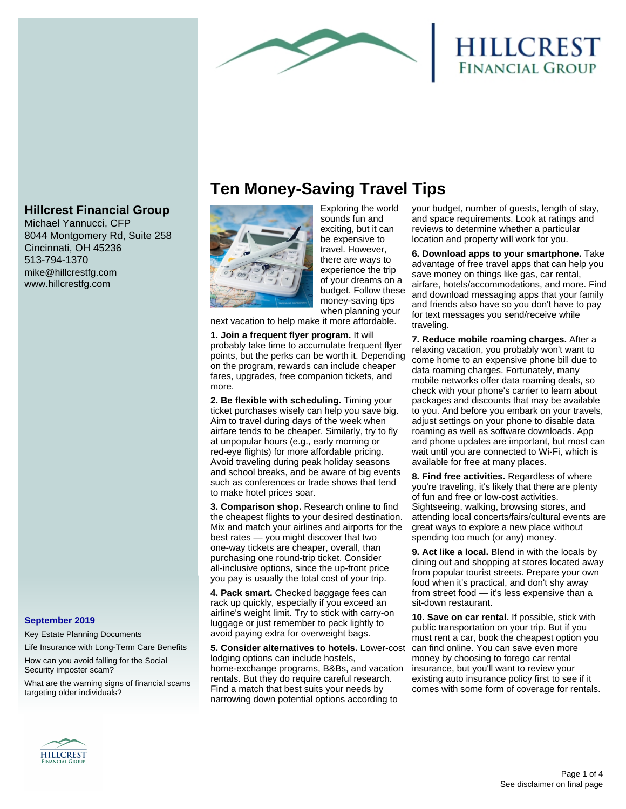

# HILLCREST<br>FINANCIAL GROUP

# **Hillcrest Financial Group**

Michael Yannucci, CFP 8044 Montgomery Rd, Suite 258 Cincinnati, OH 45236 513-794-1370 mike@hillcrestfg.com www.hillcrestfg.com

## **September 2019**

Key Estate Planning Documents

Life Insurance with Long-Term Care Benefits

How can you avoid falling for the Social Security imposter scam?

What are the warning signs of financial scams targeting older individuals?

# **Ten Money-Saving Travel Tips**



Exploring the world sounds fun and exciting, but it can be expensive to travel. However, there are ways to experience the trip of your dreams on a budget. Follow these money-saving tips when planning your

next vacation to help make it more affordable.

**1. Join a frequent flyer program.** It will probably take time to accumulate frequent flyer points, but the perks can be worth it. Depending on the program, rewards can include cheaper fares, upgrades, free companion tickets, and more.

**2. Be flexible with scheduling.** Timing your ticket purchases wisely can help you save big. Aim to travel during days of the week when airfare tends to be cheaper. Similarly, try to fly at unpopular hours (e.g., early morning or red-eye flights) for more affordable pricing. Avoid traveling during peak holiday seasons and school breaks, and be aware of big events such as conferences or trade shows that tend to make hotel prices soar.

**3. Comparison shop.** Research online to find the cheapest flights to your desired destination. Mix and match your airlines and airports for the best rates — you might discover that two one-way tickets are cheaper, overall, than purchasing one round-trip ticket. Consider all-inclusive options, since the up-front price you pay is usually the total cost of your trip.

**4. Pack smart.** Checked baggage fees can rack up quickly, especially if you exceed an airline's weight limit. Try to stick with carry-on luggage or just remember to pack lightly to avoid paying extra for overweight bags.

**5. Consider alternatives to hotels.** Lower-cost lodging options can include hostels, home-exchange programs, B&Bs, and vacation rentals. But they do require careful research. Find a match that best suits your needs by narrowing down potential options according to

your budget, number of guests, length of stay, and space requirements. Look at ratings and reviews to determine whether a particular location and property will work for you.

**6. Download apps to your smartphone.** Take advantage of free travel apps that can help you save money on things like gas, car rental, airfare, hotels/accommodations, and more. Find and download messaging apps that your family and friends also have so you don't have to pay for text messages you send/receive while traveling.

**7. Reduce mobile roaming charges.** After a relaxing vacation, you probably won't want to come home to an expensive phone bill due to data roaming charges. Fortunately, many mobile networks offer data roaming deals, so check with your phone's carrier to learn about packages and discounts that may be available to you. And before you embark on your travels, adjust settings on your phone to disable data roaming as well as software downloads. App and phone updates are important, but most can wait until you are connected to Wi-Fi, which is available for free at many places.

**8. Find free activities.** Regardless of where you're traveling, it's likely that there are plenty of fun and free or low-cost activities. Sightseeing, walking, browsing stores, and attending local concerts/fairs/cultural events are great ways to explore a new place without spending too much (or any) money.

**9. Act like a local.** Blend in with the locals by dining out and shopping at stores located away from popular tourist streets. Prepare your own food when it's practical, and don't shy away from street food — it's less expensive than a sit-down restaurant.

**10. Save on car rental.** If possible, stick with public transportation on your trip. But if you must rent a car, book the cheapest option you can find online. You can save even more money by choosing to forego car rental insurance, but you'll want to review your existing auto insurance policy first to see if it comes with some form of coverage for rentals.

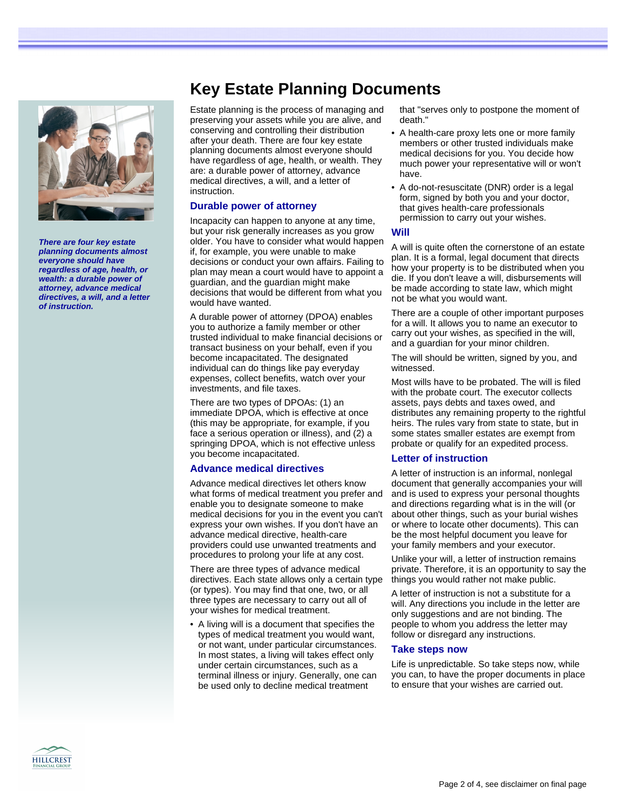

**There are four key estate planning documents almost everyone should have regardless of age, health, or wealth: a durable power of attorney, advance medical directives, a will, and a letter of instruction.**

# **Key Estate Planning Documents**

Estate planning is the process of managing and preserving your assets while you are alive, and conserving and controlling their distribution after your death. There are four key estate planning documents almost everyone should have regardless of age, health, or wealth. They are: a durable power of attorney, advance medical directives, a will, and a letter of instruction.

### **Durable power of attorney**

Incapacity can happen to anyone at any time, but your risk generally increases as you grow older. You have to consider what would happen if, for example, you were unable to make decisions or conduct your own affairs. Failing to plan may mean a court would have to appoint a guardian, and the guardian might make decisions that would be different from what you would have wanted.

A durable power of attorney (DPOA) enables you to authorize a family member or other trusted individual to make financial decisions or transact business on your behalf, even if you become incapacitated. The designated individual can do things like pay everyday expenses, collect benefits, watch over your investments, and file taxes.

There are two types of DPOAs: (1) an immediate DPOA, which is effective at once (this may be appropriate, for example, if you face a serious operation or illness), and (2) a springing DPOA, which is not effective unless you become incapacitated.

#### **Advance medical directives**

Advance medical directives let others know what forms of medical treatment you prefer and enable you to designate someone to make medical decisions for you in the event you can't express your own wishes. If you don't have an advance medical directive, health-care providers could use unwanted treatments and procedures to prolong your life at any cost.

There are three types of advance medical directives. Each state allows only a certain type (or types). You may find that one, two, or all three types are necessary to carry out all of your wishes for medical treatment.

• A living will is a document that specifies the types of medical treatment you would want, or not want, under particular circumstances. In most states, a living will takes effect only under certain circumstances, such as a terminal illness or injury. Generally, one can be used only to decline medical treatment

that "serves only to postpone the moment of death."

- A health-care proxy lets one or more family members or other trusted individuals make medical decisions for you. You decide how much power your representative will or won't have.
- A do-not-resuscitate (DNR) order is a legal form, signed by both you and your doctor, that gives health-care professionals permission to carry out your wishes.

#### **Will**

A will is quite often the cornerstone of an estate plan. It is a formal, legal document that directs how your property is to be distributed when you die. If you don't leave a will, disbursements will be made according to state law, which might not be what you would want.

There are a couple of other important purposes for a will. It allows you to name an executor to carry out your wishes, as specified in the will, and a guardian for your minor children.

The will should be written, signed by you, and witnessed.

Most wills have to be probated. The will is filed with the probate court. The executor collects assets, pays debts and taxes owed, and distributes any remaining property to the rightful heirs. The rules vary from state to state, but in some states smaller estates are exempt from probate or qualify for an expedited process.

## **Letter of instruction**

A letter of instruction is an informal, nonlegal document that generally accompanies your will and is used to express your personal thoughts and directions regarding what is in the will (or about other things, such as your burial wishes or where to locate other documents). This can be the most helpful document you leave for your family members and your executor.

Unlike your will, a letter of instruction remains private. Therefore, it is an opportunity to say the things you would rather not make public.

A letter of instruction is not a substitute for a will. Any directions you include in the letter are only suggestions and are not binding. The people to whom you address the letter may follow or disregard any instructions.

#### **Take steps now**

Life is unpredictable. So take steps now, while you can, to have the proper documents in place to ensure that your wishes are carried out.

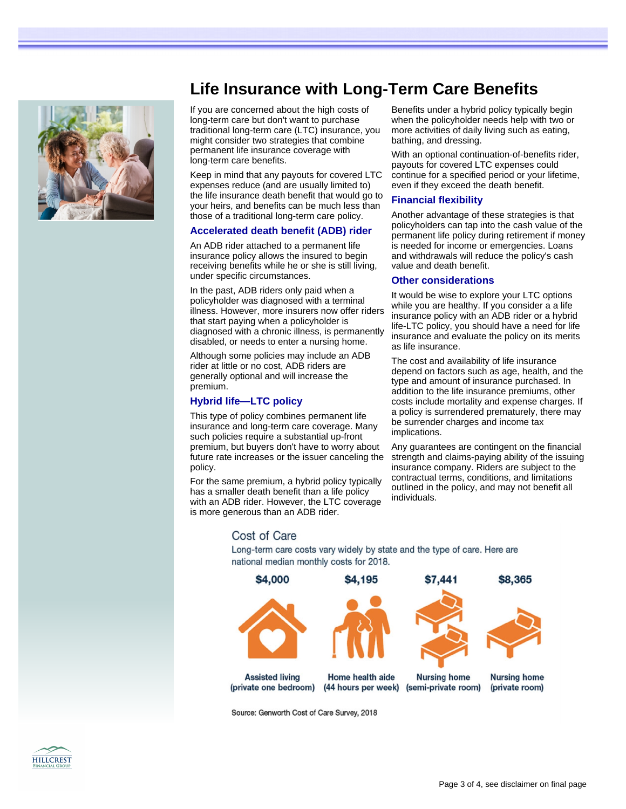

# **Life Insurance with Long-Term Care Benefits**

If you are concerned about the high costs of long-term care but don't want to purchase traditional long-term care (LTC) insurance, you might consider two strategies that combine permanent life insurance coverage with long-term care benefits.

Keep in mind that any payouts for covered LTC expenses reduce (and are usually limited to) the life insurance death benefit that would go to your heirs, and benefits can be much less than those of a traditional long-term care policy.

## **Accelerated death benefit (ADB) rider**

An ADB rider attached to a permanent life insurance policy allows the insured to begin receiving benefits while he or she is still living, under specific circumstances.

In the past, ADB riders only paid when a policyholder was diagnosed with a terminal illness. However, more insurers now offer riders that start paying when a policyholder is diagnosed with a chronic illness, is permanently disabled, or needs to enter a nursing home.

Although some policies may include an ADB rider at little or no cost, ADB riders are generally optional and will increase the premium.

## **Hybrid life—LTC policy**

This type of policy combines permanent life insurance and long-term care coverage. Many such policies require a substantial up-front premium, but buyers don't have to worry about future rate increases or the issuer canceling the policy.

For the same premium, a hybrid policy typically has a smaller death benefit than a life policy with an ADB rider. However, the LTC coverage is more generous than an ADB rider.

Benefits under a hybrid policy typically begin when the policyholder needs help with two or more activities of daily living such as eating, bathing, and dressing.

With an optional continuation-of-benefits rider, payouts for covered LTC expenses could continue for a specified period or your lifetime, even if they exceed the death benefit.

## **Financial flexibility**

Another advantage of these strategies is that policyholders can tap into the cash value of the permanent life policy during retirement if money is needed for income or emergencies. Loans and withdrawals will reduce the policy's cash value and death benefit.

## **Other considerations**

It would be wise to explore your LTC options while you are healthy. If you consider a a life insurance policy with an ADB rider or a hybrid life-LTC policy, you should have a need for life insurance and evaluate the policy on its merits as life insurance.

The cost and availability of life insurance depend on factors such as age, health, and the type and amount of insurance purchased. In addition to the life insurance premiums, other costs include mortality and expense charges. If a policy is surrendered prematurely, there may be surrender charges and income tax implications.

Any guarantees are contingent on the financial strength and claims-paying ability of the issuing insurance company. Riders are subject to the contractual terms, conditions, and limitations outlined in the policy, and may not benefit all individuals.

## Cost of Care

Long-term care costs vary widely by state and the type of care. Here are national median monthly costs for 2018.



Source: Genworth Cost of Care Survey, 2018